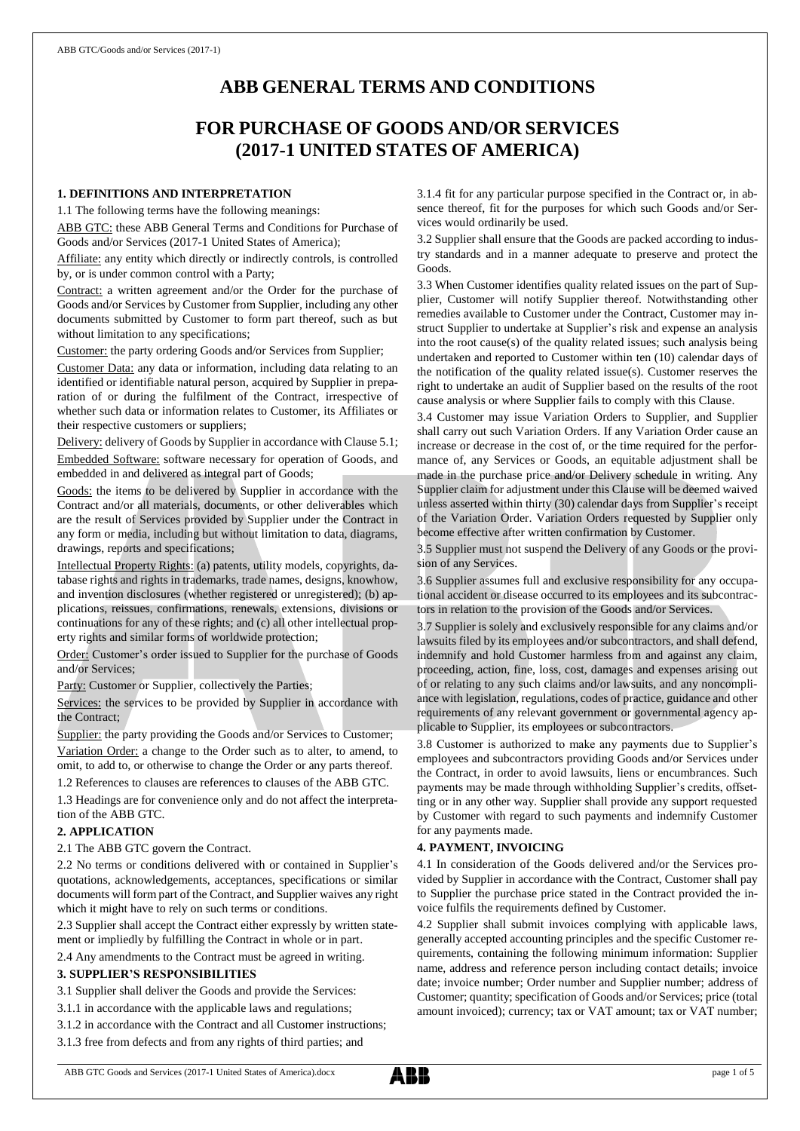# **ABB GENERAL TERMS AND CONDITIONS**

# **FOR PURCHASE OF GOODS AND/OR SERVICES (2017-1 UNITED STATES OF AMERICA)**

# **1. DEFINITIONS AND INTERPRETATION**

1.1 The following terms have the following meanings:

ABB GTC: these ABB General Terms and Conditions for Purchase of Goods and/or Services (2017-1 United States of America);

Affiliate: any entity which directly or indirectly controls, is controlled by, or is under common control with a Party;

Contract: a written agreement and/or the Order for the purchase of Goods and/or Services by Customer from Supplier, including any other documents submitted by Customer to form part thereof, such as but without limitation to any specifications;

Customer: the party ordering Goods and/or Services from Supplier;

Customer Data: any data or information, including data relating to an identified or identifiable natural person, acquired by Supplier in preparation of or during the fulfilment of the Contract, irrespective of whether such data or information relates to Customer, its Affiliates or their respective customers or suppliers;

Delivery: delivery of Goods by Supplier in accordance with Clause 5.1; Embedded Software: software necessary for operation of Goods, and embedded in and delivered as integral part of Goods;

Goods: the items to be delivered by Supplier in accordance with the Contract and/or all materials, documents, or other deliverables which are the result of Services provided by Supplier under the Contract in any form or media, including but without limitation to data, diagrams, drawings, reports and specifications;

Intellectual Property Rights: (a) patents, utility models, copyrights, database rights and rights in trademarks, trade names, designs, knowhow, and invention disclosures (whether registered or unregistered); (b) applications, reissues, confirmations, renewals, extensions, divisions or continuations for any of these rights; and (c) all other intellectual property rights and similar forms of worldwide protection;

Order: Customer's order issued to Supplier for the purchase of Goods and/or Services;

Party: Customer or Supplier, collectively the Parties;

Services: the services to be provided by Supplier in accordance with the Contract;

Supplier: the party providing the Goods and/or Services to Customer; Variation Order: a change to the Order such as to alter, to amend, to omit, to add to, or otherwise to change the Order or any parts thereof.

1.2 References to clauses are references to clauses of the ABB GTC.

1.3 Headings are for convenience only and do not affect the interpretation of the ABB GTC.

# **2. APPLICATION**

2.1 The ABB GTC govern the Contract.

2.2 No terms or conditions delivered with or contained in Supplier's quotations, acknowledgements, acceptances, specifications or similar documents will form part of the Contract, and Supplier waives any right which it might have to rely on such terms or conditions.

2.3 Supplier shall accept the Contract either expressly by written statement or impliedly by fulfilling the Contract in whole or in part.

2.4 Any amendments to the Contract must be agreed in writing.

## **3. SUPPLIER'S RESPONSIBILITIES**

3.1 Supplier shall deliver the Goods and provide the Services:

3.1.1 in accordance with the applicable laws and regulations;

3.1.2 in accordance with the Contract and all Customer instructions;

3.1.3 free from defects and from any rights of third parties; and

3.1.4 fit for any particular purpose specified in the Contract or, in absence thereof, fit for the purposes for which such Goods and/or Services would ordinarily be used.

3.2 Supplier shall ensure that the Goods are packed according to industry standards and in a manner adequate to preserve and protect the Goods.

3.3 When Customer identifies quality related issues on the part of Supplier, Customer will notify Supplier thereof. Notwithstanding other remedies available to Customer under the Contract, Customer may instruct Supplier to undertake at Supplier's risk and expense an analysis into the root cause(s) of the quality related issues; such analysis being undertaken and reported to Customer within ten (10) calendar days of the notification of the quality related issue(s). Customer reserves the right to undertake an audit of Supplier based on the results of the root cause analysis or where Supplier fails to comply with this Clause.

3.4 Customer may issue Variation Orders to Supplier, and Supplier shall carry out such Variation Orders. If any Variation Order cause an increase or decrease in the cost of, or the time required for the performance of, any Services or Goods, an equitable adjustment shall be made in the purchase price and/or Delivery schedule in writing. Any Supplier claim for adjustment under this Clause will be deemed waived unless asserted within thirty (30) calendar days from Supplier's receipt of the Variation Order. Variation Orders requested by Supplier only become effective after written confirmation by Customer.

3.5 Supplier must not suspend the Delivery of any Goods or the provision of any Services.

3.6 Supplier assumes full and exclusive responsibility for any occupational accident or disease occurred to its employees and its subcontractors in relation to the provision of the Goods and/or Services.

3.7 Supplier is solely and exclusively responsible for any claims and/or lawsuits filed by its employees and/or subcontractors, and shall defend, indemnify and hold Customer harmless from and against any claim, proceeding, action, fine, loss, cost, damages and expenses arising out of or relating to any such claims and/or lawsuits, and any noncompliance with legislation, regulations, codes of practice, guidance and other requirements of any relevant government or governmental agency applicable to Supplier, its employees or subcontractors.

3.8 Customer is authorized to make any payments due to Supplier's employees and subcontractors providing Goods and/or Services under the Contract, in order to avoid lawsuits, liens or encumbrances. Such payments may be made through withholding Supplier's credits, offsetting or in any other way. Supplier shall provide any support requested by Customer with regard to such payments and indemnify Customer for any payments made.

# **4. PAYMENT, INVOICING**

4.1 In consideration of the Goods delivered and/or the Services provided by Supplier in accordance with the Contract, Customer shall pay to Supplier the purchase price stated in the Contract provided the invoice fulfils the requirements defined by Customer.

4.2 Supplier shall submit invoices complying with applicable laws, generally accepted accounting principles and the specific Customer requirements, containing the following minimum information: Supplier name, address and reference person including contact details; invoice date; invoice number; Order number and Supplier number; address of Customer; quantity; specification of Goods and/or Services; price (total amount invoiced); currency; tax or VAT amount; tax or VAT number;

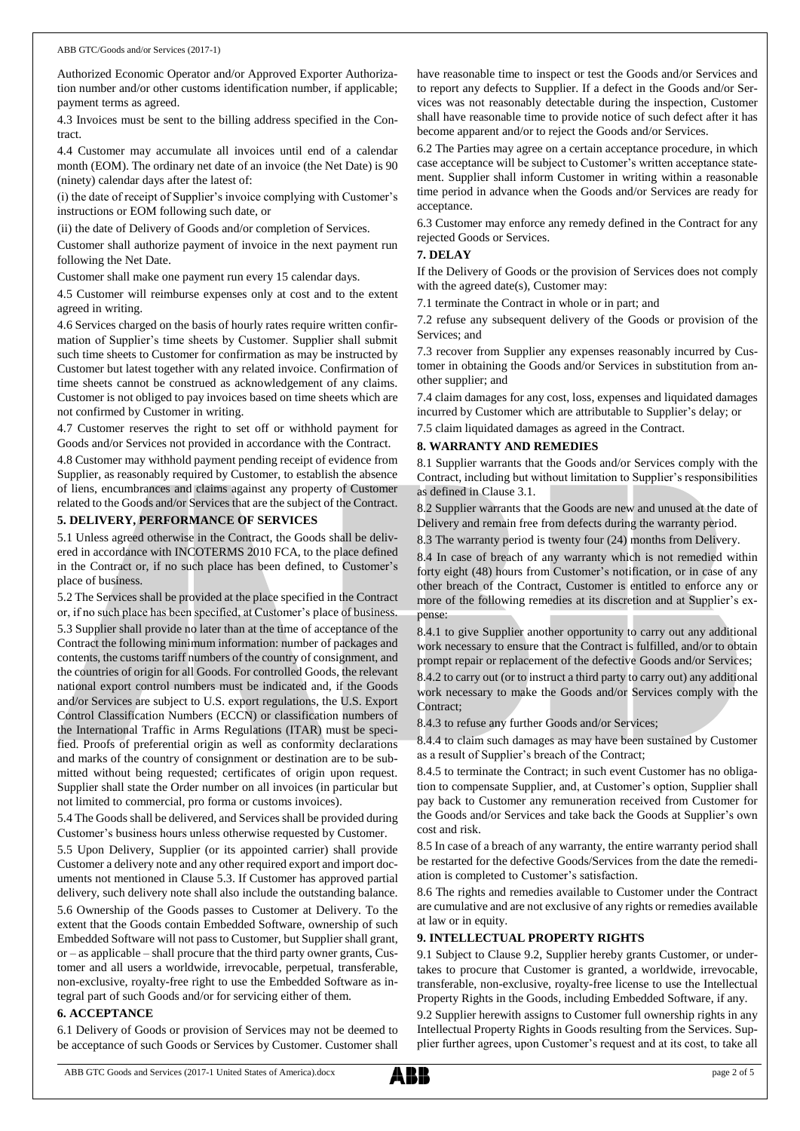Authorized Economic Operator and/or Approved Exporter Authorization number and/or other customs identification number, if applicable; payment terms as agreed.

4.3 Invoices must be sent to the billing address specified in the Contract.

4.4 Customer may accumulate all invoices until end of a calendar month (EOM). The ordinary net date of an invoice (the Net Date) is 90 (ninety) calendar days after the latest of:

(i) the date of receipt of Supplier's invoice complying with Customer's instructions or EOM following such date, or

(ii) the date of Delivery of Goods and/or completion of Services.

Customer shall authorize payment of invoice in the next payment run following the Net Date.

Customer shall make one payment run every 15 calendar days.

4.5 Customer will reimburse expenses only at cost and to the extent agreed in writing.

4.6 Services charged on the basis of hourly rates require written confirmation of Supplier's time sheets by Customer. Supplier shall submit such time sheets to Customer for confirmation as may be instructed by Customer but latest together with any related invoice. Confirmation of time sheets cannot be construed as acknowledgement of any claims. Customer is not obliged to pay invoices based on time sheets which are not confirmed by Customer in writing.

4.7 Customer reserves the right to set off or withhold payment for Goods and/or Services not provided in accordance with the Contract.

4.8 Customer may withhold payment pending receipt of evidence from Supplier, as reasonably required by Customer, to establish the absence of liens, encumbrances and claims against any property of Customer related to the Goods and/or Services that are the subject of the Contract.

# **5. DELIVERY, PERFORMANCE OF SERVICES**

5.1 Unless agreed otherwise in the Contract, the Goods shall be delivered in accordance with INCOTERMS 2010 FCA, to the place defined in the Contract or, if no such place has been defined, to Customer's place of business.

5.2 The Services shall be provided at the place specified in the Contract or, if no such place has been specified, at Customer's place of business. 5.3 Supplier shall provide no later than at the time of acceptance of the Contract the following minimum information: number of packages and contents, the customs tariff numbers of the country of consignment, and the countries of origin for all Goods. For controlled Goods, the relevant national export control numbers must be indicated and, if the Goods and/or Services are subject to U.S. export regulations, the U.S. Export Control Classification Numbers (ECCN) or classification numbers of the International Traffic in Arms Regulations (ITAR) must be specified. Proofs of preferential origin as well as conformity declarations and marks of the country of consignment or destination are to be submitted without being requested; certificates of origin upon request. Supplier shall state the Order number on all invoices (in particular but not limited to commercial, pro forma or customs invoices).

5.4 The Goods shall be delivered, and Services shall be provided during Customer's business hours unless otherwise requested by Customer.

5.5 Upon Delivery, Supplier (or its appointed carrier) shall provide Customer a delivery note and any other required export and import documents not mentioned in Clause 5.3. If Customer has approved partial delivery, such delivery note shall also include the outstanding balance.

5.6 Ownership of the Goods passes to Customer at Delivery. To the extent that the Goods contain Embedded Software, ownership of such Embedded Software will not passto Customer, but Supplier shall grant, or – as applicable – shall procure that the third party owner grants, Customer and all users a worldwide, irrevocable, perpetual, transferable, non-exclusive, royalty-free right to use the Embedded Software as integral part of such Goods and/or for servicing either of them.

## **6. ACCEPTANCE**

6.1 Delivery of Goods or provision of Services may not be deemed to be acceptance of such Goods or Services by Customer. Customer shall

have reasonable time to inspect or test the Goods and/or Services and to report any defects to Supplier. If a defect in the Goods and/or Services was not reasonably detectable during the inspection, Customer shall have reasonable time to provide notice of such defect after it has become apparent and/or to reject the Goods and/or Services.

6.2 The Parties may agree on a certain acceptance procedure, in which case acceptance will be subject to Customer's written acceptance statement. Supplier shall inform Customer in writing within a reasonable time period in advance when the Goods and/or Services are ready for acceptance.

6.3 Customer may enforce any remedy defined in the Contract for any rejected Goods or Services.

## **7. DELAY**

If the Delivery of Goods or the provision of Services does not comply with the agreed date(s), Customer may:

7.1 terminate the Contract in whole or in part; and

7.2 refuse any subsequent delivery of the Goods or provision of the Services; and

7.3 recover from Supplier any expenses reasonably incurred by Customer in obtaining the Goods and/or Services in substitution from another supplier; and

7.4 claim damages for any cost, loss, expenses and liquidated damages incurred by Customer which are attributable to Supplier's delay; or

7.5 claim liquidated damages as agreed in the Contract.

## **8. WARRANTY AND REMEDIES**

8.1 Supplier warrants that the Goods and/or Services comply with the Contract, including but without limitation to Supplier's responsibilities as defined in Clause 3.1.

8.2 Supplier warrants that the Goods are new and unused at the date of Delivery and remain free from defects during the warranty period.

8.3 The warranty period is twenty four (24) months from Delivery.

8.4 In case of breach of any warranty which is not remedied within forty eight (48) hours from Customer's notification, or in case of any other breach of the Contract, Customer is entitled to enforce any or more of the following remedies at its discretion and at Supplier's expense:

8.4.1 to give Supplier another opportunity to carry out any additional work necessary to ensure that the Contract is fulfilled, and/or to obtain prompt repair or replacement of the defective Goods and/or Services;

8.4.2 to carry out (or to instruct a third party to carry out) any additional work necessary to make the Goods and/or Services comply with the Contract;

8.4.3 to refuse any further Goods and/or Services;

8.4.4 to claim such damages as may have been sustained by Customer as a result of Supplier's breach of the Contract;

8.4.5 to terminate the Contract; in such event Customer has no obligation to compensate Supplier, and, at Customer's option, Supplier shall pay back to Customer any remuneration received from Customer for the Goods and/or Services and take back the Goods at Supplier's own cost and risk.

8.5 In case of a breach of any warranty, the entire warranty period shall be restarted for the defective Goods/Services from the date the remediation is completed to Customer's satisfaction.

8.6 The rights and remedies available to Customer under the Contract are cumulative and are not exclusive of any rights or remedies available at law or in equity.

## **9. INTELLECTUAL PROPERTY RIGHTS**

9.1 Subject to Clause 9.2, Supplier hereby grants Customer, or undertakes to procure that Customer is granted, a worldwide, irrevocable, transferable, non-exclusive, royalty-free license to use the Intellectual Property Rights in the Goods, including Embedded Software, if any.

9.2 Supplier herewith assigns to Customer full ownership rights in any Intellectual Property Rights in Goods resulting from the Services. Supplier further agrees, upon Customer's request and at its cost, to take all

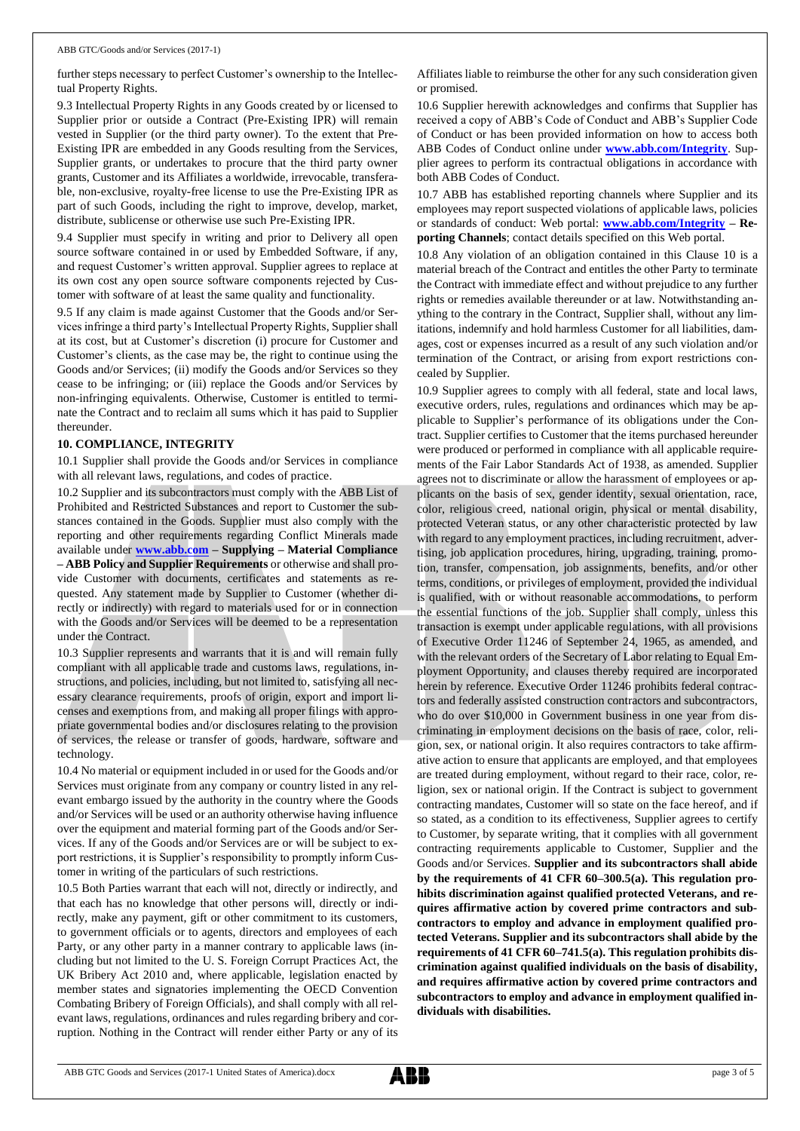further steps necessary to perfect Customer's ownership to the Intellectual Property Rights.

9.3 Intellectual Property Rights in any Goods created by or licensed to Supplier prior or outside a Contract (Pre-Existing IPR) will remain vested in Supplier (or the third party owner). To the extent that Pre-Existing IPR are embedded in any Goods resulting from the Services, Supplier grants, or undertakes to procure that the third party owner grants, Customer and its Affiliates a worldwide, irrevocable, transferable, non-exclusive, royalty-free license to use the Pre-Existing IPR as part of such Goods, including the right to improve, develop, market, distribute, sublicense or otherwise use such Pre-Existing IPR.

9.4 Supplier must specify in writing and prior to Delivery all open source software contained in or used by Embedded Software, if any, and request Customer's written approval. Supplier agrees to replace at its own cost any open source software components rejected by Customer with software of at least the same quality and functionality.

9.5 If any claim is made against Customer that the Goods and/or Services infringe a third party's Intellectual Property Rights, Supplier shall at its cost, but at Customer's discretion (i) procure for Customer and Customer's clients, as the case may be, the right to continue using the Goods and/or Services; (ii) modify the Goods and/or Services so they cease to be infringing; or (iii) replace the Goods and/or Services by non-infringing equivalents. Otherwise, Customer is entitled to terminate the Contract and to reclaim all sums which it has paid to Supplier thereunder.

#### **10. COMPLIANCE, INTEGRITY**

10.1 Supplier shall provide the Goods and/or Services in compliance with all relevant laws, regulations, and codes of practice.

10.2 Supplier and its subcontractors must comply with the ABB List of Prohibited and Restricted Substances and report to Customer the substances contained in the Goods. Supplier must also comply with the reporting and other requirements regarding Conflict Minerals made available under **[www.abb.com](http://www.abb.com/) – Supplying – Material Compliance – ABB Policy and Supplier Requirements** or otherwise and shall provide Customer with documents, certificates and statements as requested. Any statement made by Supplier to Customer (whether directly or indirectly) with regard to materials used for or in connection with the Goods and/or Services will be deemed to be a representation under the Contract.

10.3 Supplier represents and warrants that it is and will remain fully compliant with all applicable trade and customs laws, regulations, instructions, and policies, including, but not limited to, satisfying all necessary clearance requirements, proofs of origin, export and import licenses and exemptions from, and making all proper filings with appropriate governmental bodies and/or disclosures relating to the provision of services, the release or transfer of goods, hardware, software and technology.

10.4 No material or equipment included in or used for the Goods and/or Services must originate from any company or country listed in any relevant embargo issued by the authority in the country where the Goods and/or Services will be used or an authority otherwise having influence over the equipment and material forming part of the Goods and/or Services. If any of the Goods and/or Services are or will be subject to export restrictions, it is Supplier's responsibility to promptly inform Customer in writing of the particulars of such restrictions.

10.5 Both Parties warrant that each will not, directly or indirectly, and that each has no knowledge that other persons will, directly or indirectly, make any payment, gift or other commitment to its customers, to government officials or to agents, directors and employees of each Party, or any other party in a manner contrary to applicable laws (including but not limited to the U. S. Foreign Corrupt Practices Act, the UK Bribery Act 2010 and, where applicable, legislation enacted by member states and signatories implementing the OECD Convention Combating Bribery of Foreign Officials), and shall comply with all relevant laws, regulations, ordinances and rules regarding bribery and corruption. Nothing in the Contract will render either Party or any of its Affiliates liable to reimburse the other for any such consideration given or promised.

10.6 Supplier herewith acknowledges and confirms that Supplier has received a copy of ABB's Code of Conduct and ABB's Supplier Code of Conduct or has been provided information on how to access both ABB Codes of Conduct online under **[www.abb.com/Integrity](http://www.abb.com/Integrity)**. Supplier agrees to perform its contractual obligations in accordance with both ABB Codes of Conduct.

10.7 ABB has established reporting channels where Supplier and its employees may report suspected violations of applicable laws, policies or standards of conduct: Web portal: **[www.abb.com/Integrity](http://www.abb.com/Integrity) – Reporting Channels**; contact details specified on this Web portal.

10.8 Any violation of an obligation contained in this Clause 10 is a material breach of the Contract and entitles the other Party to terminate the Contract with immediate effect and without prejudice to any further rights or remedies available thereunder or at law. Notwithstanding anything to the contrary in the Contract, Supplier shall, without any limitations, indemnify and hold harmless Customer for all liabilities, damages, cost or expenses incurred as a result of any such violation and/or termination of the Contract, or arising from export restrictions concealed by Supplier.

10.9 Supplier agrees to comply with all federal, state and local laws, executive orders, rules, regulations and ordinances which may be applicable to Supplier's performance of its obligations under the Contract. Supplier certifies to Customer that the items purchased hereunder were produced or performed in compliance with all applicable requirements of the Fair Labor Standards Act of 1938, as amended. Supplier agrees not to discriminate or allow the harassment of employees or applicants on the basis of sex, gender identity, sexual orientation, race, color, religious creed, national origin, physical or mental disability, protected Veteran status, or any other characteristic protected by law with regard to any employment practices, including recruitment, advertising, job application procedures, hiring, upgrading, training, promotion, transfer, compensation, job assignments, benefits, and/or other terms, conditions, or privileges of employment, provided the individual is qualified, with or without reasonable accommodations, to perform the essential functions of the job. Supplier shall comply, unless this transaction is exempt under applicable regulations, with all provisions of Executive Order 11246 of September 24, 1965, as amended, and with the relevant orders of the Secretary of Labor relating to Equal Employment Opportunity, and clauses thereby required are incorporated herein by reference. Executive Order 11246 prohibits federal contractors and federally assisted construction contractors and subcontractors, who do over \$10,000 in Government business in one year from discriminating in employment decisions on the basis of race, color, religion, sex, or national origin. It also requires contractors to take affirmative action to ensure that applicants are employed, and that employees are treated during employment, without regard to their race, color, religion, sex or national origin. If the Contract is subject to government contracting mandates, Customer will so state on the face hereof, and if so stated, as a condition to its effectiveness, Supplier agrees to certify to Customer, by separate writing, that it complies with all government contracting requirements applicable to Customer, Supplier and the Goods and/or Services. **Supplier and its subcontractors shall abide by the requirements of 41 CFR 60–300.5(a). This regulation prohibits discrimination against qualified protected Veterans, and requires affirmative action by covered prime contractors and subcontractors to employ and advance in employment qualified protected Veterans. Supplier and its subcontractors shall abide by the requirements of 41 CFR 60–741.5(a). This regulation prohibits discrimination against qualified individuals on the basis of disability, and requires affirmative action by covered prime contractors and subcontractors to employ and advance in employment qualified individuals with disabilities.**

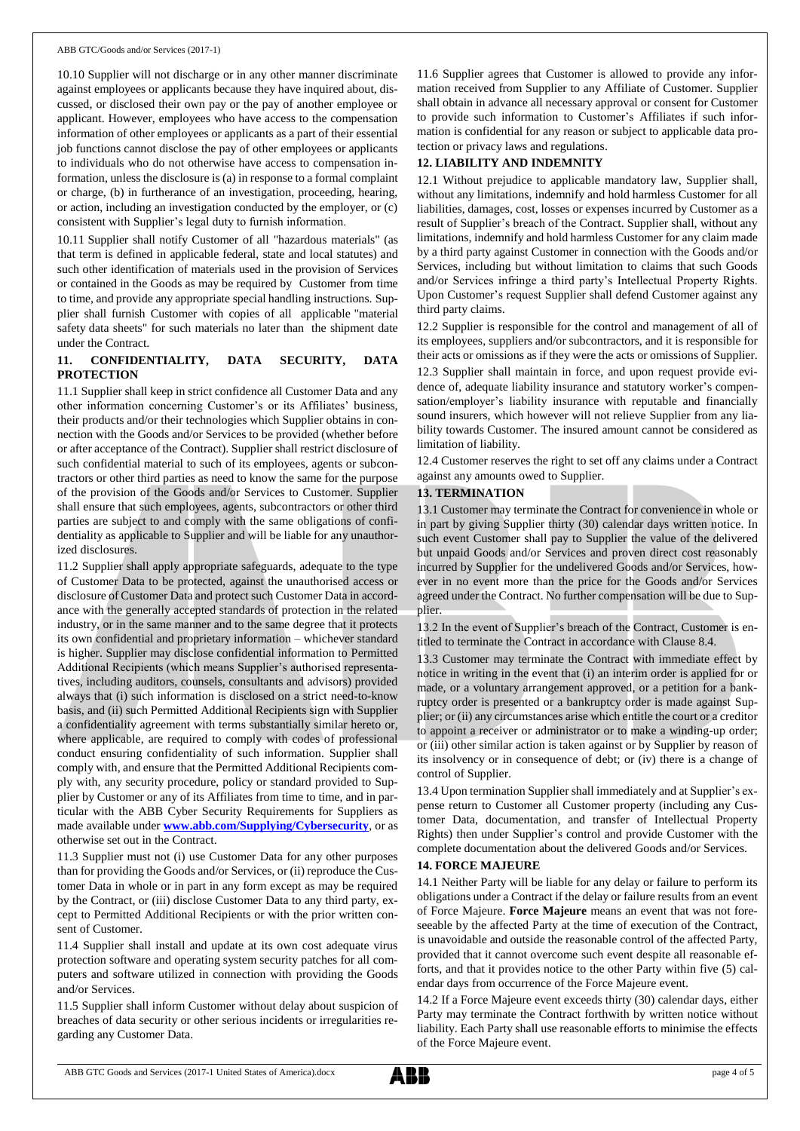10.10 Supplier will not discharge or in any other manner discriminate against employees or applicants because they have inquired about, discussed, or disclosed their own pay or the pay of another employee or applicant. However, employees who have access to the compensation information of other employees or applicants as a part of their essential job functions cannot disclose the pay of other employees or applicants to individuals who do not otherwise have access to compensation information, unless the disclosure is (a) in response to a formal complaint or charge, (b) in furtherance of an investigation, proceeding, hearing, or action, including an investigation conducted by the employer, or (c) consistent with Supplier's legal duty to furnish information.

10.11 Supplier shall notify Customer of all "hazardous materials" (as that term is defined in applicable federal, state and local statutes) and such other identification of materials used in the provision of Services or contained in the Goods as may be required by Customer from time to time, and provide any appropriate special handling instructions. Supplier shall furnish Customer with copies of all applicable "material safety data sheets" for such materials no later than the shipment date under the Contract.

# **11. CONFIDENTIALITY, DATA SECURITY, DATA PROTECTION**

11.1 Supplier shall keep in strict confidence all Customer Data and any other information concerning Customer's or its Affiliates' business, their products and/or their technologies which Supplier obtains in connection with the Goods and/or Services to be provided (whether before or after acceptance of the Contract). Supplier shall restrict disclosure of such confidential material to such of its employees, agents or subcontractors or other third parties as need to know the same for the purpose of the provision of the Goods and/or Services to Customer. Supplier shall ensure that such employees, agents, subcontractors or other third parties are subject to and comply with the same obligations of confidentiality as applicable to Supplier and will be liable for any unauthorized disclosures.

11.2 Supplier shall apply appropriate safeguards, adequate to the type of Customer Data to be protected, against the unauthorised access or disclosure of Customer Data and protect such Customer Data in accordance with the generally accepted standards of protection in the related industry, or in the same manner and to the same degree that it protects its own confidential and proprietary information – whichever standard is higher. Supplier may disclose confidential information to Permitted Additional Recipients (which means Supplier's authorised representatives, including auditors, counsels, consultants and advisors) provided always that (i) such information is disclosed on a strict need-to-know basis, and (ii) such Permitted Additional Recipients sign with Supplier a confidentiality agreement with terms substantially similar hereto or, where applicable, are required to comply with codes of professional conduct ensuring confidentiality of such information. Supplier shall comply with, and ensure that the Permitted Additional Recipients comply with, any security procedure, policy or standard provided to Supplier by Customer or any of its Affiliates from time to time, and in particular with the ABB Cyber Security Requirements for Suppliers as made available under **[www.abb.com/Supplying/Cybersecurity](http://www.abb.com/Supplying/Cybersecurity)**, or as otherwise set out in the Contract.

11.3 Supplier must not (i) use Customer Data for any other purposes than for providing the Goods and/or Services, or (ii) reproduce the Customer Data in whole or in part in any form except as may be required by the Contract, or (iii) disclose Customer Data to any third party, except to Permitted Additional Recipients or with the prior written consent of Customer.

11.4 Supplier shall install and update at its own cost adequate virus protection software and operating system security patches for all computers and software utilized in connection with providing the Goods and/or Services.

11.5 Supplier shall inform Customer without delay about suspicion of breaches of data security or other serious incidents or irregularities regarding any Customer Data.

11.6 Supplier agrees that Customer is allowed to provide any information received from Supplier to any Affiliate of Customer. Supplier shall obtain in advance all necessary approval or consent for Customer to provide such information to Customer's Affiliates if such information is confidential for any reason or subject to applicable data protection or privacy laws and regulations.

# **12. LIABILITY AND INDEMNITY**

12.1 Without prejudice to applicable mandatory law, Supplier shall, without any limitations, indemnify and hold harmless Customer for all liabilities, damages, cost, losses or expenses incurred by Customer as a result of Supplier's breach of the Contract. Supplier shall, without any limitations, indemnify and hold harmless Customer for any claim made by a third party against Customer in connection with the Goods and/or Services, including but without limitation to claims that such Goods and/or Services infringe a third party's Intellectual Property Rights. Upon Customer's request Supplier shall defend Customer against any third party claims.

12.2 Supplier is responsible for the control and management of all of its employees, suppliers and/or subcontractors, and it is responsible for their acts or omissions as if they were the acts or omissions of Supplier.

12.3 Supplier shall maintain in force, and upon request provide evidence of, adequate liability insurance and statutory worker's compensation/employer's liability insurance with reputable and financially sound insurers, which however will not relieve Supplier from any liability towards Customer. The insured amount cannot be considered as limitation of liability.

12.4 Customer reserves the right to set off any claims under a Contract against any amounts owed to Supplier.

## **13. TERMINATION**

13.1 Customer may terminate the Contract for convenience in whole or in part by giving Supplier thirty (30) calendar days written notice. In such event Customer shall pay to Supplier the value of the delivered but unpaid Goods and/or Services and proven direct cost reasonably incurred by Supplier for the undelivered Goods and/or Services, however in no event more than the price for the Goods and/or Services agreed under the Contract. No further compensation will be due to Supplier.

13.2 In the event of Supplier's breach of the Contract, Customer is entitled to terminate the Contract in accordance with Clause 8.4.

13.3 Customer may terminate the Contract with immediate effect by notice in writing in the event that (i) an interim order is applied for or made, or a voluntary arrangement approved, or a petition for a bankruptcy order is presented or a bankruptcy order is made against Supplier; or (ii) any circumstances arise which entitle the court or a creditor to appoint a receiver or administrator or to make a winding-up order; or (iii) other similar action is taken against or by Supplier by reason of its insolvency or in consequence of debt; or (iv) there is a change of control of Supplier.

13.4 Upon termination Supplier shall immediately and at Supplier's expense return to Customer all Customer property (including any Customer Data, documentation, and transfer of Intellectual Property Rights) then under Supplier's control and provide Customer with the complete documentation about the delivered Goods and/or Services.

## **14. FORCE MAJEURE**

14.1 Neither Party will be liable for any delay or failure to perform its obligations under a Contract if the delay or failure results from an event of Force Majeure. **Force Majeure** means an event that was not foreseeable by the affected Party at the time of execution of the Contract, is unavoidable and outside the reasonable control of the affected Party, provided that it cannot overcome such event despite all reasonable efforts, and that it provides notice to the other Party within five (5) calendar days from occurrence of the Force Majeure event.

14.2 If a Force Majeure event exceeds thirty (30) calendar days, either Party may terminate the Contract forthwith by written notice without liability. Each Party shall use reasonable efforts to minimise the effects of the Force Majeure event.